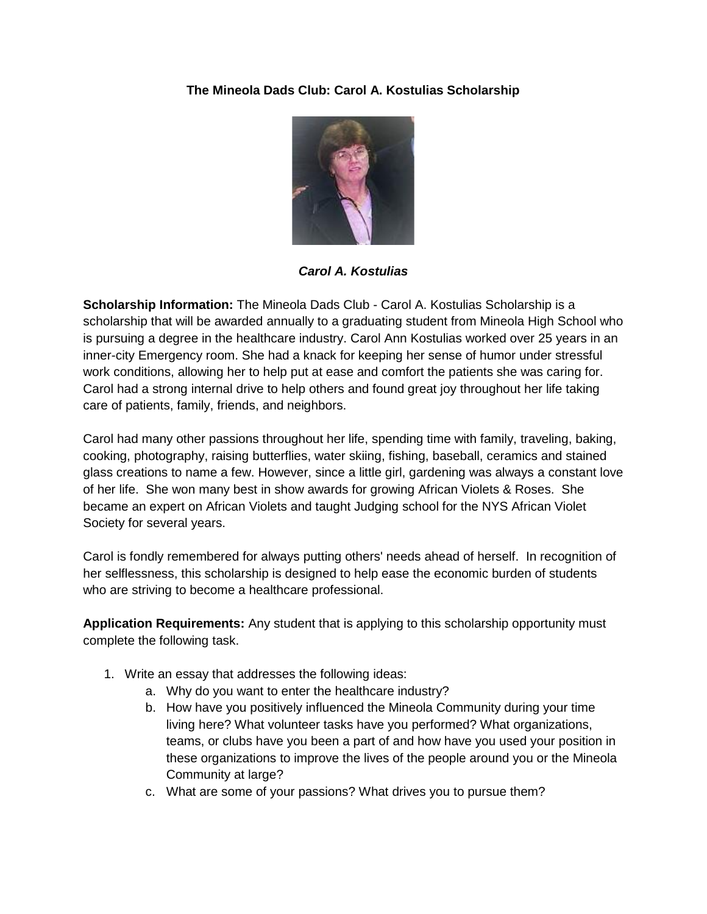## **The Mineola Dads Club: Carol A. Kostulias Scholarship**



*Carol A. Kostulias*

**Scholarship Information:** The Mineola Dads Club - Carol A. Kostulias Scholarship is a scholarship that will be awarded annually to a graduating student from Mineola High School who is pursuing a degree in the healthcare industry. Carol Ann Kostulias worked over 25 years in an inner-city Emergency room. She had a knack for keeping her sense of humor under stressful work conditions, allowing her to help put at ease and comfort the patients she was caring for. Carol had a strong internal drive to help others and found great joy throughout her life taking care of patients, family, friends, and neighbors.

Carol had many other passions throughout her life, spending time with family, traveling, baking, cooking, photography, raising butterflies, water skiing, fishing, baseball, ceramics and stained glass creations to name a few. However, since a little girl, gardening was always a constant love of her life. She won many best in show awards for growing African Violets & Roses. She became an expert on African Violets and taught Judging school for the NYS African Violet Society for several years.

Carol is fondly remembered for always putting others' needs ahead of herself. In recognition of her selflessness, this scholarship is designed to help ease the economic burden of students who are striving to become a healthcare professional.

**Application Requirements:** Any student that is applying to this scholarship opportunity must complete the following task.

- 1. Write an essay that addresses the following ideas:
	- a. Why do you want to enter the healthcare industry?
	- b. How have you positively influenced the Mineola Community during your time living here? What volunteer tasks have you performed? What organizations, teams, or clubs have you been a part of and how have you used your position in these organizations to improve the lives of the people around you or the Mineola Community at large?
	- c. What are some of your passions? What drives you to pursue them?